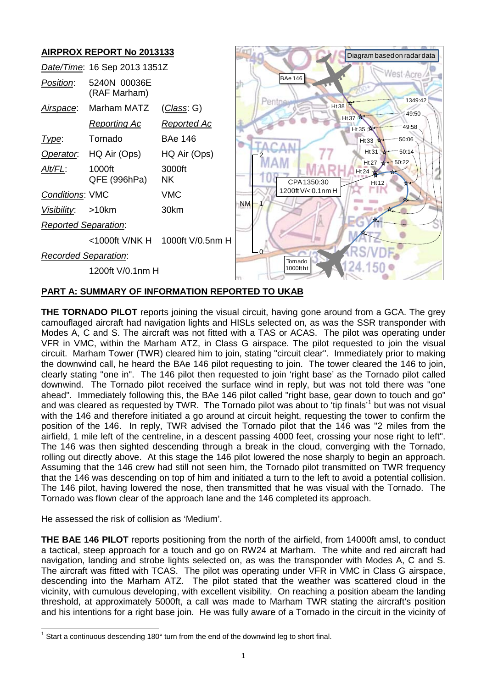

# **PART A: SUMMARY OF INFORMATION REPORTED TO UKAB**

**THE TORNADO PILOT** reports joining the visual circuit, having gone around from a GCA. The grey camouflaged aircraft had navigation lights and HISLs selected on, as was the SSR transponder with Modes A, C and S. The aircraft was not fitted with a TAS or ACAS. The pilot was operating under VFR in VMC, within the Marham ATZ, in Class G airspace. The pilot requested to join the visual circuit. Marham Tower (TWR) cleared him to join, stating "circuit clear". Immediately prior to making the downwind call, he heard the BAe 146 pilot requesting to join. The tower cleared the 146 to join, clearly stating "one in". The 146 pilot then requested to join 'right base' as the Tornado pilot called downwind. The Tornado pilot received the surface wind in reply, but was not told there was "one ahead". Immediately following this, the BAe 146 pilot called "right base, gear down to touch and go" and was cleared as requested by TWR. The Tornado pilot was about to 'tip finals'<sup>[1](#page-0-0)</sup> but was not visual with the 146 and therefore initiated a go around at circuit height, requesting the tower to confirm the position of the 146. In reply, TWR advised the Tornado pilot that the 146 was "2 miles from the airfield, 1 mile left of the centreline, in a descent passing 4000 feet, crossing your nose right to left". The 146 was then sighted descending through a break in the cloud, converging with the Tornado, rolling out directly above. At this stage the 146 pilot lowered the nose sharply to begin an approach. Assuming that the 146 crew had still not seen him, the Tornado pilot transmitted on TWR frequency that the 146 was descending on top of him and initiated a turn to the left to avoid a potential collision. The 146 pilot, having lowered the nose, then transmitted that he was visual with the Tornado. The Tornado was flown clear of the approach lane and the 146 completed its approach.

He assessed the risk of collision as 'Medium'.

**THE BAE 146 PILOT** reports positioning from the north of the airfield, from 14000ft amsl, to conduct a tactical, steep approach for a touch and go on RW24 at Marham. The white and red aircraft had navigation, landing and strobe lights selected on, as was the transponder with Modes A, C and S. The aircraft was fitted with TCAS. The pilot was operating under VFR in VMC in Class G airspace, descending into the Marham ATZ. The pilot stated that the weather was scattered cloud in the vicinity, with cumulous developing, with excellent visibility. On reaching a position abeam the landing threshold, at approximately 5000ft, a call was made to Marham TWR stating the aircraft's position and his intentions for a right base join. He was fully aware of a Tornado in the circuit in the vicinity of

<span id="page-0-0"></span> $1$  Start a continuous descending 180 $^{\circ}$  turn from the end of the downwind leg to short final.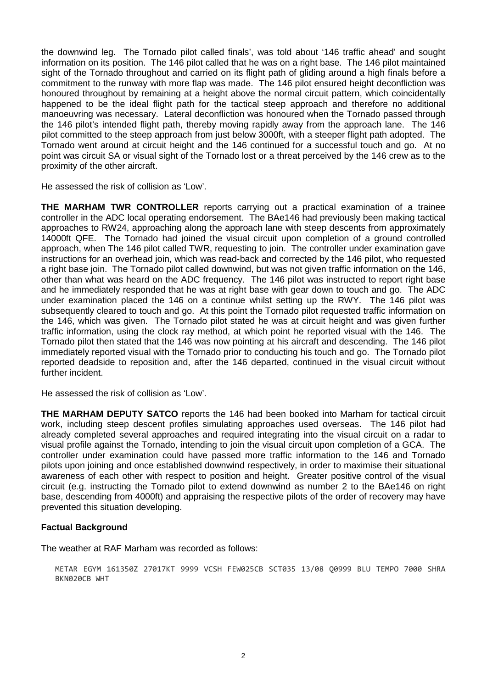the downwind leg. The Tornado pilot called finals', was told about '146 traffic ahead' and sought information on its position. The 146 pilot called that he was on a right base. The 146 pilot maintained sight of the Tornado throughout and carried on its flight path of gliding around a high finals before a commitment to the runway with more flap was made. The 146 pilot ensured height deconfliction was honoured throughout by remaining at a height above the normal circuit pattern, which coincidentally happened to be the ideal flight path for the tactical steep approach and therefore no additional manoeuvring was necessary. Lateral deconfliction was honoured when the Tornado passed through the 146 pilot's intended flight path, thereby moving rapidly away from the approach lane. The 146 pilot committed to the steep approach from just below 3000ft, with a steeper flight path adopted. The Tornado went around at circuit height and the 146 continued for a successful touch and go. At no point was circuit SA or visual sight of the Tornado lost or a threat perceived by the 146 crew as to the proximity of the other aircraft.

He assessed the risk of collision as 'Low'.

**THE MARHAM TWR CONTROLLER** reports carrying out a practical examination of a trainee controller in the ADC local operating endorsement. The BAe146 had previously been making tactical approaches to RW24, approaching along the approach lane with steep descents from approximately 14000ft QFE. The Tornado had joined the visual circuit upon completion of a ground controlled approach, when The 146 pilot called TWR, requesting to join. The controller under examination gave instructions for an overhead join, which was read-back and corrected by the 146 pilot, who requested a right base join. The Tornado pilot called downwind, but was not given traffic information on the 146, other than what was heard on the ADC frequency. The 146 pilot was instructed to report right base and he immediately responded that he was at right base with gear down to touch and go. The ADC under examination placed the 146 on a continue whilst setting up the RWY. The 146 pilot was subsequently cleared to touch and go. At this point the Tornado pilot requested traffic information on the 146, which was given. The Tornado pilot stated he was at circuit height and was given further traffic information, using the clock ray method, at which point he reported visual with the 146. The Tornado pilot then stated that the 146 was now pointing at his aircraft and descending. The 146 pilot immediately reported visual with the Tornado prior to conducting his touch and go. The Tornado pilot reported deadside to reposition and, after the 146 departed, continued in the visual circuit without further incident.

He assessed the risk of collision as 'Low'.

**THE MARHAM DEPUTY SATCO** reports the 146 had been booked into Marham for tactical circuit work, including steep descent profiles simulating approaches used overseas. The 146 pilot had already completed several approaches and required integrating into the visual circuit on a radar to visual profile against the Tornado, intending to join the visual circuit upon completion of a GCA. The controller under examination could have passed more traffic information to the 146 and Tornado pilots upon joining and once established downwind respectively, in order to maximise their situational awareness of each other with respect to position and height. Greater positive control of the visual circuit (e.g. instructing the Tornado pilot to extend downwind as number 2 to the BAe146 on right base, descending from 4000ft) and appraising the respective pilots of the order of recovery may have prevented this situation developing.

### **Factual Background**

The weather at RAF Marham was recorded as follows:

METAR EGYM 161350Z 27017KT 9999 VCSH FEW025CB SCT035 13/08 Q0999 BLU TEMPO 7000 SHRA BKN020CB WHT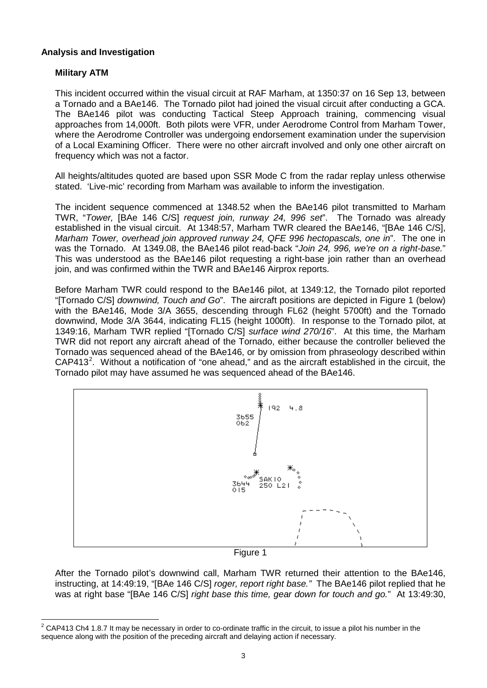### **Analysis and Investigation**

## **Military ATM**

This incident occurred within the visual circuit at RAF Marham, at 1350:37 on 16 Sep 13, between a Tornado and a BAe146. The Tornado pilot had joined the visual circuit after conducting a GCA. The BAe146 pilot was conducting Tactical Steep Approach training, commencing visual approaches from 14,000ft. Both pilots were VFR, under Aerodrome Control from Marham Tower, where the Aerodrome Controller was undergoing endorsement examination under the supervision of a Local Examining Officer. There were no other aircraft involved and only one other aircraft on frequency which was not a factor.

All heights/altitudes quoted are based upon SSR Mode C from the radar replay unless otherwise stated. 'Live-mic' recording from Marham was available to inform the investigation.

The incident sequence commenced at 1348.52 when the BAe146 pilot transmitted to Marham TWR, "*Tower,* [BAe 146 C/S] *request join, runway 24, 996 set*". The Tornado was already established in the visual circuit. At 1348:57, Marham TWR cleared the BAe146, "[BAe 146 C/S], *Marham Tower, overhead join approved runway 24, QFE 996 hectopascals, one in*". The one in was the Tornado. At 1349.08, the BAe146 pilot read-back "*Join 24, 996, we're on a right-base.*" This was understood as the BAe146 pilot requesting a right-base join rather than an overhead join, and was confirmed within the TWR and BAe146 Airprox reports.

Before Marham TWR could respond to the BAe146 pilot, at 1349:12, the Tornado pilot reported "[Tornado C/S] *downwind, Touch and Go*". The aircraft positions are depicted in Figure 1 (below) with the BAe146, Mode 3/A 3655, descending through FL62 (height 5700ft) and the Tornado downwind, Mode 3/A 3644, indicating FL15 (height 1000ft). In response to the Tornado pilot, at 1349:16, Marham TWR replied "[Tornado C/S] *surface wind 270/16*". At this time, the Marham TWR did not report any aircraft ahead of the Tornado, either because the controller believed the Tornado was sequenced ahead of the BAe146, or by omission from phraseology described within  $CAP413<sup>2</sup>$  $CAP413<sup>2</sup>$  $CAP413<sup>2</sup>$ . Without a notification of "one ahead," and as the aircraft established in the circuit, the Tornado pilot may have assumed he was sequenced ahead of the BAe146.



Figure 1

After the Tornado pilot's downwind call, Marham TWR returned their attention to the BAe146, instructing, at 14:49:19, "[BAe 146 C/S] *roger, report right base."* The BAe146 pilot replied that he was at right base "[BAe 146 C/S] *right base this time, gear down for touch and go.*" At 13:49:30,

<span id="page-2-0"></span> $2$  CAP413 Ch4 1.8.7 It may be necessary in order to co-ordinate traffic in the circuit, to issue a pilot his number in the sequence along with the position of the preceding aircraft and delaying action if necessary.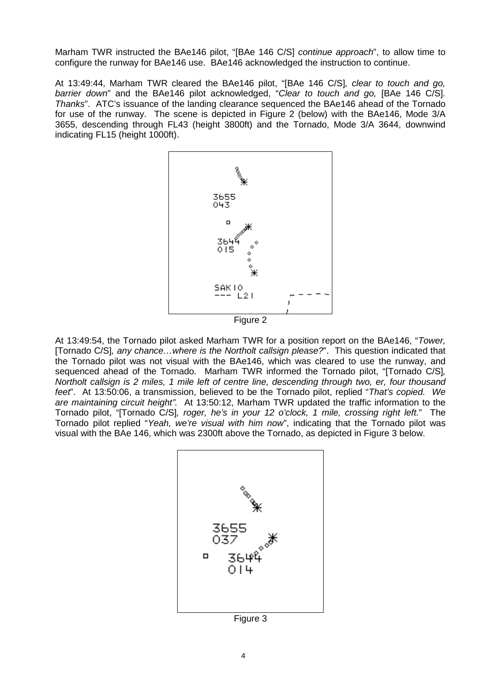Marham TWR instructed the BAe146 pilot, "[BAe 146 C/S] *continue approach*", to allow time to configure the runway for BAe146 use. BAe146 acknowledged the instruction to continue.

At 13:49:44, Marham TWR cleared the BAe146 pilot, "[BAe 146 C/S]*, clear to touch and go, barrier down*" and the BAe146 pilot acknowledged, "*Clear to touch and go,* [BAe 146 C/S]*. Thanks*". ATC's issuance of the landing clearance sequenced the BAe146 ahead of the Tornado for use of the runway. The scene is depicted in Figure 2 (below) with the BAe146, Mode 3/A 3655, descending through FL43 (height 3800ft) and the Tornado, Mode 3/A 3644, downwind indicating FL15 (height 1000ft).



At 13:49:54, the Tornado pilot asked Marham TWR for a position report on the BAe146, "*Tower,*  [Tornado C/S]*, any chance…where is the Northolt callsign please?*". This question indicated that the Tornado pilot was not visual with the BAe146, which was cleared to use the runway, and sequenced ahead of the Tornado. Marham TWR informed the Tornado pilot, "[Tornado C/S]*, Northolt callsign is 2 miles, 1 mile left of centre line, descending through two, er, four thousand feet*". At 13:50:06, a transmission, believed to be the Tornado pilot, replied "*That's copied. We are maintaining circuit height".* At 13:50:12, Marham TWR updated the traffic information to the Tornado pilot, "[Tornado C/S]*, roger, he's in your 12 o'clock, 1 mile, crossing right left.*" The Tornado pilot replied "*Yeah, we're visual with him now*", indicating that the Tornado pilot was visual with the BAe 146, which was 2300ft above the Tornado, as depicted in Figure 3 below.



Figure 3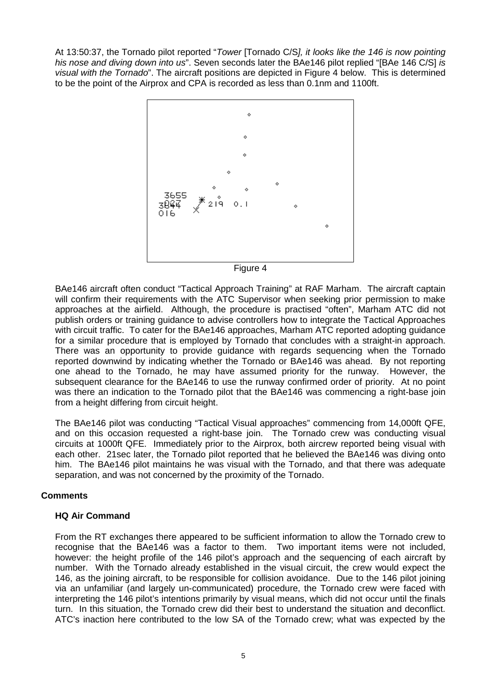At 13:50:37, the Tornado pilot reported "*Tower* [Tornado C/S*], it looks like the 146 is now pointing his nose and diving down into us*". Seven seconds later the BAe146 pilot replied "[BAe 146 C/S] *is visual with the Tornado*". The aircraft positions are depicted in Figure 4 below. This is determined to be the point of the Airprox and CPA is recorded as less than 0.1nm and 1100ft.



Figure 4

BAe146 aircraft often conduct "Tactical Approach Training" at RAF Marham. The aircraft captain will confirm their requirements with the ATC Supervisor when seeking prior permission to make approaches at the airfield. Although, the procedure is practised "often", Marham ATC did not publish orders or training guidance to advise controllers how to integrate the Tactical Approaches with circuit traffic. To cater for the BAe146 approaches, Marham ATC reported adopting quidance for a similar procedure that is employed by Tornado that concludes with a straight-in approach. There was an opportunity to provide guidance with regards sequencing when the Tornado reported downwind by indicating whether the Tornado or BAe146 was ahead. By not reporting one ahead to the Tornado, he may have assumed priority for the runway. However, the subsequent clearance for the BAe146 to use the runway confirmed order of priority. At no point was there an indication to the Tornado pilot that the BAe146 was commencing a right-base join from a height differing from circuit height.

The BAe146 pilot was conducting "Tactical Visual approaches" commencing from 14,000ft QFE, and on this occasion requested a right-base join. The Tornado crew was conducting visual circuits at 1000ft QFE. Immediately prior to the Airprox, both aircrew reported being visual with each other. 21sec later, the Tornado pilot reported that he believed the BAe146 was diving onto him. The BAe146 pilot maintains he was visual with the Tornado, and that there was adequate separation, and was not concerned by the proximity of the Tornado.

# **Comments**

### **HQ Air Command**

From the RT exchanges there appeared to be sufficient information to allow the Tornado crew to recognise that the BAe146 was a factor to them. Two important items were not included, however: the height profile of the 146 pilot's approach and the sequencing of each aircraft by number. With the Tornado already established in the visual circuit, the crew would expect the 146, as the joining aircraft, to be responsible for collision avoidance. Due to the 146 pilot joining via an unfamiliar (and largely un-communicated) procedure, the Tornado crew were faced with interpreting the 146 pilot's intentions primarily by visual means, which did not occur until the finals turn. In this situation, the Tornado crew did their best to understand the situation and deconflict. ATC's inaction here contributed to the low SA of the Tornado crew; what was expected by the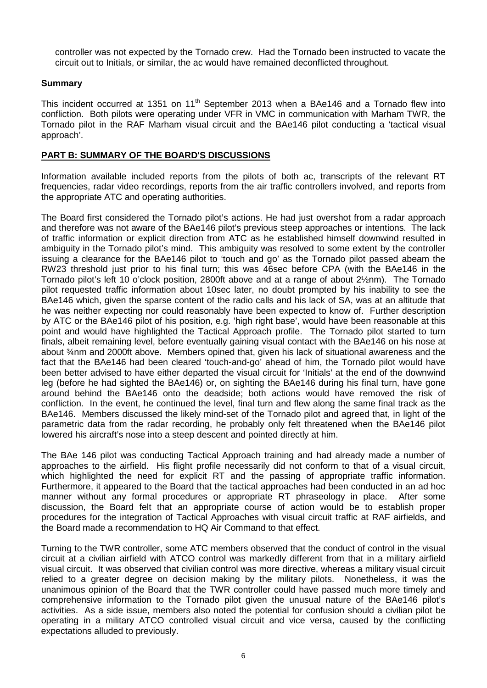controller was not expected by the Tornado crew. Had the Tornado been instructed to vacate the circuit out to Initials, or similar, the ac would have remained deconflicted throughout.

### **Summary**

This incident occurred at 1351 on 11<sup>th</sup> September 2013 when a BAe146 and a Tornado flew into confliction. Both pilots were operating under VFR in VMC in communication with Marham TWR, the Tornado pilot in the RAF Marham visual circuit and the BAe146 pilot conducting a 'tactical visual approach'.

### **PART B: SUMMARY OF THE BOARD'S DISCUSSIONS**

Information available included reports from the pilots of both ac, transcripts of the relevant RT frequencies, radar video recordings, reports from the air traffic controllers involved, and reports from the appropriate ATC and operating authorities.

The Board first considered the Tornado pilot's actions. He had just overshot from a radar approach and therefore was not aware of the BAe146 pilot's previous steep approaches or intentions. The lack of traffic information or explicit direction from ATC as he established himself downwind resulted in ambiguity in the Tornado pilot's mind. This ambiguity was resolved to some extent by the controller issuing a clearance for the BAe146 pilot to 'touch and go' as the Tornado pilot passed abeam the RW23 threshold just prior to his final turn; this was 46sec before CPA (with the BAe146 in the Tornado pilot's left 10 o'clock position, 2800ft above and at a range of about 2½nm). The Tornado pilot requested traffic information about 10sec later, no doubt prompted by his inability to see the BAe146 which, given the sparse content of the radio calls and his lack of SA, was at an altitude that he was neither expecting nor could reasonably have been expected to know of. Further description by ATC or the BAe146 pilot of his position, e.g. 'high right base', would have been reasonable at this point and would have highlighted the Tactical Approach profile. The Tornado pilot started to turn finals, albeit remaining level, before eventually gaining visual contact with the BAe146 on his nose at about ¾nm and 2000ft above. Members opined that, given his lack of situational awareness and the fact that the BAe146 had been cleared 'touch-and-go' ahead of him, the Tornado pilot would have been better advised to have either departed the visual circuit for 'Initials' at the end of the downwind leg (before he had sighted the BAe146) or, on sighting the BAe146 during his final turn, have gone around behind the BAe146 onto the deadside; both actions would have removed the risk of confliction. In the event, he continued the level, final turn and flew along the same final track as the BAe146. Members discussed the likely mind-set of the Tornado pilot and agreed that, in light of the parametric data from the radar recording, he probably only felt threatened when the BAe146 pilot lowered his aircraft's nose into a steep descent and pointed directly at him.

The BAe 146 pilot was conducting Tactical Approach training and had already made a number of approaches to the airfield. His flight profile necessarily did not conform to that of a visual circuit, which highlighted the need for explicit RT and the passing of appropriate traffic information. Furthermore, it appeared to the Board that the tactical approaches had been conducted in an ad hoc manner without any formal procedures or appropriate RT phraseology in place. After some discussion, the Board felt that an appropriate course of action would be to establish proper procedures for the integration of Tactical Approaches with visual circuit traffic at RAF airfields, and the Board made a recommendation to HQ Air Command to that effect.

Turning to the TWR controller, some ATC members observed that the conduct of control in the visual circuit at a civilian airfield with ATCO control was markedly different from that in a military airfield visual circuit. It was observed that civilian control was more directive, whereas a military visual circuit relied to a greater degree on decision making by the military pilots. Nonetheless, it was the unanimous opinion of the Board that the TWR controller could have passed much more timely and comprehensive information to the Tornado pilot given the unusual nature of the BAe146 pilot's activities. As a side issue, members also noted the potential for confusion should a civilian pilot be operating in a military ATCO controlled visual circuit and vice versa, caused by the conflicting expectations alluded to previously.